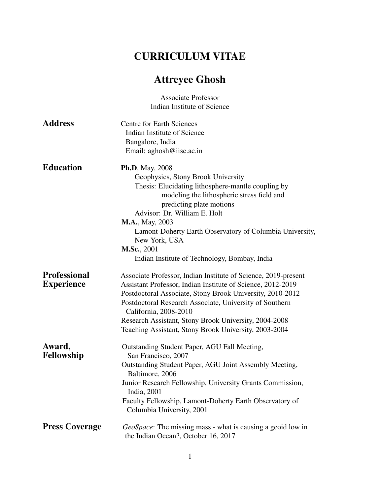## CURRICULUM VITAE

## Attreyee Ghosh

|                       | <b>Associate Professor</b><br>Indian Institute of Science                                                  |
|-----------------------|------------------------------------------------------------------------------------------------------------|
|                       |                                                                                                            |
| <b>Address</b>        | <b>Centre for Earth Sciences</b><br>Indian Institute of Science                                            |
|                       | Bangalore, India                                                                                           |
|                       | Email: aghosh@iisc.ac.in                                                                                   |
| <b>Education</b>      | <b>Ph.D</b> , May, 2008                                                                                    |
|                       | Geophysics, Stony Brook University                                                                         |
|                       | Thesis: Elucidating lithosphere-mantle coupling by                                                         |
|                       | modeling the lithospheric stress field and                                                                 |
|                       | predicting plate motions                                                                                   |
|                       | Advisor: Dr. William E. Holt                                                                               |
|                       | <b>M.A.</b> , May, 2003<br>Lamont-Doherty Earth Observatory of Columbia University,                        |
|                       | New York, USA                                                                                              |
|                       | <b>M.Sc.</b> , 2001                                                                                        |
|                       | Indian Institute of Technology, Bombay, India                                                              |
| <b>Professional</b>   | Associate Professor, Indian Institute of Science, 2019-present                                             |
| <b>Experience</b>     | Assistant Professor, Indian Institute of Science, 2012-2019                                                |
|                       | Postdoctoral Associate, Stony Brook University, 2010-2012                                                  |
|                       | Postdoctoral Research Associate, University of Southern                                                    |
|                       | California, 2008-2010                                                                                      |
|                       | Research Assistant, Stony Brook University, 2004-2008                                                      |
|                       | Teaching Assistant, Stony Brook University, 2003-2004                                                      |
| Award,<br>Fellowship  | Outstanding Student Paper, AGU Fall Meeting,<br>San Francisco, 2007                                        |
|                       | Outstanding Student Paper, AGU Joint Assembly Meeting,<br>Baltimore, 2006                                  |
|                       | Junior Research Fellowship, University Grants Commission,<br>India, 2001                                   |
|                       | Faculty Fellowship, Lamont-Doherty Earth Observatory of<br>Columbia University, 2001                       |
| <b>Press Coverage</b> | <i>GeoSpace</i> : The missing mass - what is causing a geoid low in<br>the Indian Ocean?, October 16, 2017 |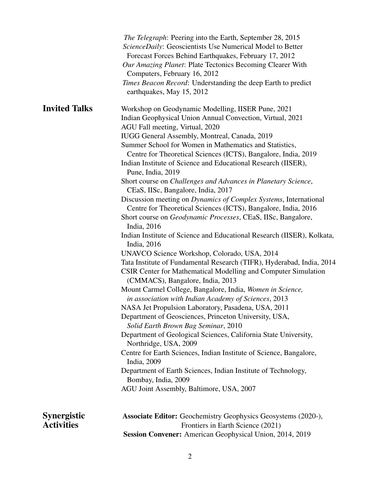|                                         | <i>The Telegraph</i> : Peering into the Earth, September 28, 2015<br>ScienceDaily: Geoscientists Use Numerical Model to Better<br>Forecast Forces Behind Earthquakes, February 17, 2012<br>Our Amazing Planet: Plate Tectonics Becoming Clearer With<br>Computers, February 16, 2012<br>Times Beacon Record: Understanding the deep Earth to predict<br>earthquakes, May 15, 2012                                                                                                                                                                                                                                                                                                                                                                                                                                                                                                                                                                                                                                                                                                                                                              |
|-----------------------------------------|------------------------------------------------------------------------------------------------------------------------------------------------------------------------------------------------------------------------------------------------------------------------------------------------------------------------------------------------------------------------------------------------------------------------------------------------------------------------------------------------------------------------------------------------------------------------------------------------------------------------------------------------------------------------------------------------------------------------------------------------------------------------------------------------------------------------------------------------------------------------------------------------------------------------------------------------------------------------------------------------------------------------------------------------------------------------------------------------------------------------------------------------|
| <b>Invited Talks</b>                    | Workshop on Geodynamic Modelling, IISER Pune, 2021<br>Indian Geophysical Union Annual Convection, Virtual, 2021<br>AGU Fall meeting, Virtual, 2020<br>IUGG General Assembly, Montreal, Canada, 2019<br>Summer School for Women in Mathematics and Statistics,<br>Centre for Theoretical Sciences (ICTS), Bangalore, India, 2019<br>Indian Institute of Science and Educational Research (IISER),<br>Pune, India, 2019<br>Short course on Challenges and Advances in Planetary Science,<br>CEaS, IISc, Bangalore, India, 2017<br>Discussion meeting on Dynamics of Complex Systems, International<br>Centre for Theoretical Sciences (ICTS), Bangalore, India, 2016<br>Short course on <i>Geodynamic Processes</i> , CEaS, IISc, Bangalore,<br>India, 2016<br>Indian Institute of Science and Educational Research (IISER), Kolkata,<br>India, 2016<br>UNAVCO Science Workshop, Colorado, USA, 2014<br>Tata Institute of Fundamental Research (TIFR), Hyderabad, India, 2014<br>CSIR Center for Mathematical Modelling and Computer Simulation<br>(CMMACS), Bangalore, India, 2013<br>Mount Carmel College, Bangalore, India, Women in Science, |
|                                         | in association with Indian Academy of Sciences, 2013<br>NASA Jet Propulsion Laboratory, Pasadena, USA, 2011<br>Department of Geosciences, Princeton University, USA,<br>Solid Earth Brown Bag Seminar, 2010<br>Department of Geological Sciences, California State University,<br>Northridge, USA, 2009<br>Centre for Earth Sciences, Indian Institute of Science, Bangalore,<br>India, 2009<br>Department of Earth Sciences, Indian Institute of Technology,<br>Bombay, India, 2009<br>AGU Joint Assembly, Baltimore, USA, 2007                                                                                                                                                                                                                                                                                                                                                                                                                                                                                                                                                                                                               |
| <b>Synergistic</b><br><b>Activities</b> | <b>Associate Editor:</b> Geochemistry Geophysics Geosystems (2020-),<br>Frontiers in Earth Science (2021)<br><b>Session Convener:</b> American Geophysical Union, 2014, 2019                                                                                                                                                                                                                                                                                                                                                                                                                                                                                                                                                                                                                                                                                                                                                                                                                                                                                                                                                                   |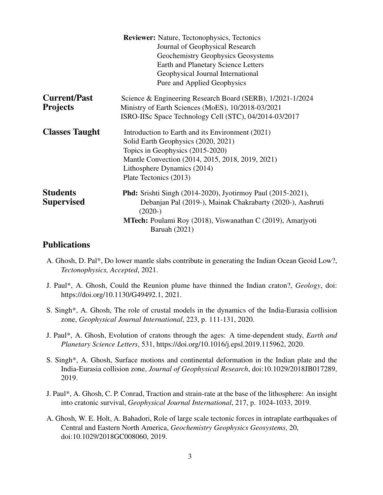|                       | <b>Reviewer:</b> Nature, Tectonophysics, Tectonics                 |
|-----------------------|--------------------------------------------------------------------|
|                       | Journal of Geophysical Research                                    |
|                       | Geochemistry Geophysics Geosystems                                 |
|                       | <b>Earth and Planetary Science Letters</b>                         |
|                       | Geophysical Journal International                                  |
|                       | Pure and Applied Geophysics                                        |
| <b>Current/Past</b>   | Science & Engineering Research Board (SERB), 1/2021-1/2024         |
| <b>Projects</b>       | Ministry of Earth Sciences (MoES), 10/2018-03/2021                 |
|                       | ISRO-IISc Space Technology Cell (STC), 04/2014-03/2017             |
| <b>Classes Taught</b> | Introduction to Earth and its Environment (2021)                   |
|                       | Solid Earth Geophysics (2020, 2021)                                |
|                       | Topics in Geophysics (2015-2020)                                   |
|                       | Mantle Convection (2014, 2015, 2018, 2019, 2021)                   |
|                       | Lithosphere Dynamics (2014)                                        |
|                       | Plate Tectonics (2013)                                             |
| <b>Students</b>       | <b>Phd:</b> Srishti Singh (2014-2020), Jyotirmoy Paul (2015-2021), |
| <b>Supervised</b>     | Debanjan Pal (2019-), Mainak Chakrabarty (2020-), Aashruti         |
|                       | $(2020-)$                                                          |
|                       | <b>MTech:</b> Poulami Roy (2018), Viswanathan C (2019), Amariyoti  |
|                       | <b>Baruah</b> (2021)                                               |

## **Publications**

- A. Ghosh, D. Pal\*, Do lower mantle slabs contribute in generating the Indian Ocean Geoid Low?, *Tectonophysics, Accepted*, 2021.
- J. Paul\*, A. Ghosh, Could the Reunion plume have thinned the Indian craton?, *Geology*, doi: https://doi.org/10.1130/G49492.1, 2021.
- S. Singh\*, A. Ghosh, The role of crustal models in the dynamics of the India-Eurasia collision zone, *Geophysical Journal International*, 223, p. 111-131, 2020.
- J. Paul\*, A. Ghosh, Evolution of cratons through the ages: A time-dependent study, *Earth and Planetary Science Letters*, 531, https://doi.org/10.1016/j.epsl.2019.115962, 2020.
- S. Singh\*, A. Ghosh, Surface motions and continental deformation in the Indian plate and the India-Eurasia collision zone, *Journal of Geophysical Research*, doi:10.1029/2018JB017289, 2019.
- J. Paul\*, A. Ghosh, C. P. Conrad, Traction and strain-rate at the base of the lithosphere: An insight into cratonic survival, *Geophysical Journal International*, 217, p. 1024-1033, 2019.
- A. Ghosh, W. E. Holt, A. Bahadori, Role of large scale tectonic forces in intraplate earthquakes of Central and Eastern North America, *Geochemistry Geophysics Geosystems*, 20, doi:10.1029/2018GC008060, 2019.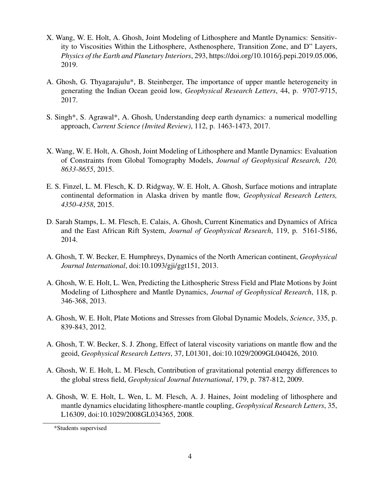- X. Wang, W. E. Holt, A. Ghosh, Joint Modeling of Lithosphere and Mantle Dynamics: Sensitivity to Viscosities Within the Lithosphere, Asthenosphere, Transition Zone, and D" Layers, *Physics of the Earth and Planetary Interiors*, 293, https://doi.org/10.1016/j.pepi.2019.05.006, 2019.
- A. Ghosh, G. Thyagarajulu\*, B. Steinberger, The importance of upper mantle heterogeneity in generating the Indian Ocean geoid low, *Geophysical Research Letters*, 44, p. 9707-9715, 2017.
- S. Singh\*, S. Agrawal\*, A. Ghosh, Understanding deep earth dynamics: a numerical modelling approach, *Current Science (Invited Review)*, 112, p. 1463-1473, 2017.
- X. Wang, W. E. Holt, A. Ghosh, Joint Modeling of Lithosphere and Mantle Dynamics: Evaluation of Constraints from Global Tomography Models, *Journal of Geophysical Research, 120, 8633-8655*, 2015.
- E. S. Finzel, L. M. Flesch, K. D. Ridgway, W. E. Holt, A. Ghosh, Surface motions and intraplate continental deformation in Alaska driven by mantle flow, *Geophysical Research Letters, 4350-4358*, 2015.
- D. Sarah Stamps, L. M. Flesch, E. Calais, A. Ghosh, Current Kinematics and Dynamics of Africa and the East African Rift System, *Journal of Geophysical Research*, 119, p. 5161-5186, 2014.
- A. Ghosh, T. W. Becker, E. Humphreys, Dynamics of the North American continent, *Geophysical Journal International*, doi:10.1093/gji/ggt151, 2013.
- A. Ghosh, W. E. Holt, L. Wen, Predicting the Lithospheric Stress Field and Plate Motions by Joint Modeling of Lithosphere and Mantle Dynamics, *Journal of Geophysical Research*, 118, p. 346-368, 2013.
- A. Ghosh, W. E. Holt, Plate Motions and Stresses from Global Dynamic Models, *Science*, 335, p. 839-843, 2012.
- A. Ghosh, T. W. Becker, S. J. Zhong, Effect of lateral viscosity variations on mantle flow and the geoid, *Geophysical Research Letters*, 37, L01301, doi:10.1029/2009GL040426, 2010.
- A. Ghosh, W. E. Holt, L. M. Flesch, Contribution of gravitational potential energy differences to the global stress field, *Geophysical Journal International*, 179, p. 787-812, 2009.
- A. Ghosh, W. E. Holt, L. Wen, L. M. Flesch, A. J. Haines, Joint modeling of lithosphere and mantle dynamics elucidating lithosphere-mantle coupling, *Geophysical Research Letters*, 35, L16309, doi:10.1029/2008GL034365, 2008.

<sup>\*</sup>Students supervised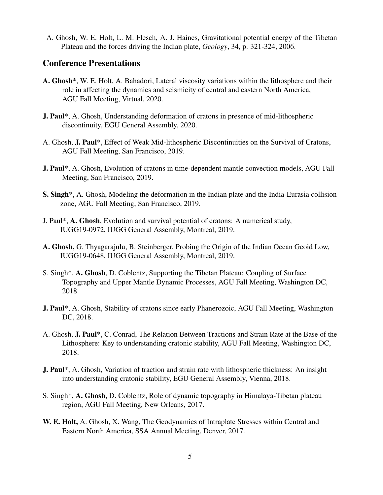A. Ghosh, W. E. Holt, L. M. Flesch, A. J. Haines, Gravitational potential energy of the Tibetan Plateau and the forces driving the Indian plate, *Geology*, 34, p. 321-324, 2006.

## Conference Presentations

- A. Ghosh\*, W. E. Holt, A. Bahadori, Lateral viscosity variations within the lithosphere and their role in affecting the dynamics and seismicity of central and eastern North America, AGU Fall Meeting, Virtual, 2020.
- J. Paul\*, A. Ghosh, Understanding deformation of cratons in presence of mid-lithospheric discontinuity, EGU General Assembly, 2020.
- A. Ghosh, J. Paul\*, Effect of Weak Mid-lithospheric Discontinuities on the Survival of Cratons, AGU Fall Meeting, San Francisco, 2019.
- J. Paul\*, A. Ghosh, Evolution of cratons in time-dependent mantle convection models, AGU Fall Meeting, San Francisco, 2019.
- S. Singh\*, A. Ghosh, Modeling the deformation in the Indian plate and the India-Eurasia collision zone, AGU Fall Meeting, San Francisco, 2019.
- J. Paul\*, A. Ghosh, Evolution and survival potential of cratons: A numerical study, IUGG19-0972, IUGG General Assembly, Montreal, 2019.
- A. Ghosh, G. Thyagarajulu, B. Steinberger, Probing the Origin of the Indian Ocean Geoid Low, IUGG19-0648, IUGG General Assembly, Montreal, 2019.
- S. Singh\*, A. Ghosh, D. Coblentz, Supporting the Tibetan Plateau: Coupling of Surface Topography and Upper Mantle Dynamic Processes, AGU Fall Meeting, Washington DC, 2018.
- J. Paul\*, A. Ghosh, Stability of cratons since early Phanerozoic, AGU Fall Meeting, Washington DC, 2018.
- A. Ghosh, J. Paul\*, C. Conrad, The Relation Between Tractions and Strain Rate at the Base of the Lithosphere: Key to understanding cratonic stability, AGU Fall Meeting, Washington DC, 2018.
- J. Paul\*, A. Ghosh, Variation of traction and strain rate with lithospheric thickness: An insight into understanding cratonic stability, EGU General Assembly, Vienna, 2018.
- S. Singh\*, A. Ghosh, D. Coblentz, Role of dynamic topography in Himalaya-Tibetan plateau region, AGU Fall Meeting, New Orleans, 2017.
- W. E. Holt, A. Ghosh, X. Wang, The Geodynamics of Intraplate Stresses within Central and Eastern North America, SSA Annual Meeting, Denver, 2017.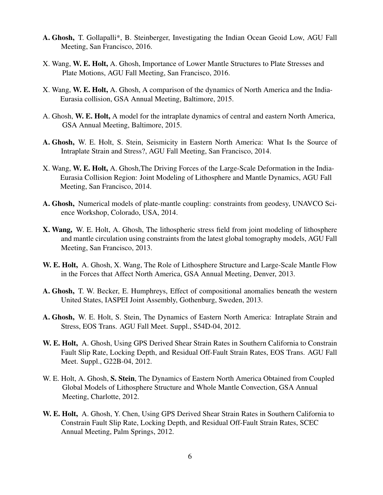- A. Ghosh, T. Gollapalli\*, B. Steinberger, Investigating the Indian Ocean Geoid Low, AGU Fall Meeting, San Francisco, 2016.
- X. Wang, W. E. Holt, A. Ghosh, Importance of Lower Mantle Structures to Plate Stresses and Plate Motions, AGU Fall Meeting, San Francisco, 2016.
- X. Wang, W. E. Holt, A. Ghosh, A comparison of the dynamics of North America and the India-Eurasia collision, GSA Annual Meeting, Baltimore, 2015.
- A. Ghosh, W. E. Holt, A model for the intraplate dynamics of central and eastern North America, GSA Annual Meeting, Baltimore, 2015.
- A. Ghosh, W. E. Holt, S. Stein, Seismicity in Eastern North America: What Is the Source of Intraplate Strain and Stress?, AGU Fall Meeting, San Francisco, 2014.
- X. Wang, W. E. Holt, A. Ghosh,The Driving Forces of the Large-Scale Deformation in the India-Eurasia Collision Region: Joint Modeling of Lithosphere and Mantle Dynamics, AGU Fall Meeting, San Francisco, 2014.
- A. Ghosh, Numerical models of plate-mantle coupling: constraints from geodesy, UNAVCO Science Workshop, Colorado, USA, 2014.
- X. Wang, W. E. Holt, A. Ghosh, The lithospheric stress field from joint modeling of lithosphere and mantle circulation using constraints from the latest global tomography models, AGU Fall Meeting, San Francisco, 2013.
- W. E. Holt, A. Ghosh, X. Wang, The Role of Lithosphere Structure and Large-Scale Mantle Flow in the Forces that Affect North America, GSA Annual Meeting, Denver, 2013.
- A. Ghosh, T. W. Becker, E. Humphreys, Effect of compositional anomalies beneath the western United States, IASPEI Joint Assembly, Gothenburg, Sweden, 2013.
- A. Ghosh, W. E. Holt, S. Stein, The Dynamics of Eastern North America: Intraplate Strain and Stress, EOS Trans. AGU Fall Meet. Suppl., S54D-04, 2012.
- W. E. Holt, A. Ghosh, Using GPS Derived Shear Strain Rates in Southern California to Constrain Fault Slip Rate, Locking Depth, and Residual Off-Fault Strain Rates, EOS Trans. AGU Fall Meet. Suppl., G22B-04, 2012.
- W. E. Holt, A. Ghosh, S. Stein, The Dynamics of Eastern North America Obtained from Coupled Global Models of Lithosphere Structure and Whole Mantle Convection, GSA Annual Meeting, Charlotte, 2012.
- W. E. Holt, A. Ghosh, Y. Chen, Using GPS Derived Shear Strain Rates in Southern California to Constrain Fault Slip Rate, Locking Depth, and Residual Off-Fault Strain Rates, SCEC Annual Meeting, Palm Springs, 2012.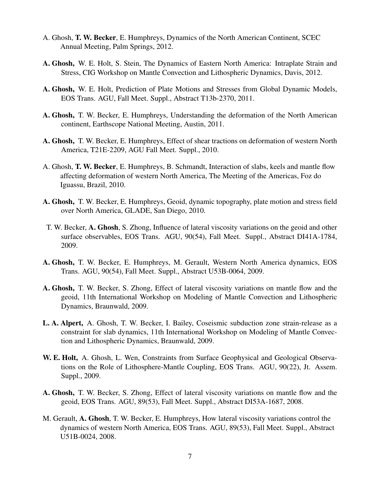- A. Ghosh, T. W. Becker, E. Humphreys, Dynamics of the North American Continent, SCEC Annual Meeting, Palm Springs, 2012.
- A. Ghosh, W. E. Holt, S. Stein, The Dynamics of Eastern North America: Intraplate Strain and Stress, CIG Workshop on Mantle Convection and Lithospheric Dynamics, Davis, 2012.
- A. Ghosh, W. E. Holt, Prediction of Plate Motions and Stresses from Global Dynamic Models, EOS Trans. AGU, Fall Meet. Suppl., Abstract T13b-2370, 2011.
- A. Ghosh, T. W. Becker, E. Humphreys, Understanding the deformation of the North American continent, Earthscope National Meeting, Austin, 2011.
- A. Ghosh, T. W. Becker, E. Humphreys, Effect of shear tractions on deformation of western North America, T21E-2209, AGU Fall Meet. Suppl., 2010.
- A. Ghosh, T. W. Becker, E. Humphreys, B. Schmandt, Interaction of slabs, keels and mantle flow affecting deformation of western North America, The Meeting of the Americas, Foz do Iguassu, Brazil, 2010.
- A. Ghosh, T. W. Becker, E. Humphreys, Geoid, dynamic topography, plate motion and stress field over North America, GLADE, San Diego, 2010.
- T. W. Becker, A. Ghosh, S. Zhong, Influence of lateral viscosity variations on the geoid and other surface observables, EOS Trans. AGU, 90(54), Fall Meet. Suppl., Abstract DI41A-1784, 2009.
- A. Ghosh, T. W. Becker, E. Humphreys, M. Gerault, Western North America dynamics, EOS Trans. AGU, 90(54), Fall Meet. Suppl., Abstract U53B-0064, 2009.
- A. Ghosh, T. W. Becker, S. Zhong, Effect of lateral viscosity variations on mantle flow and the geoid, 11th International Workshop on Modeling of Mantle Convection and Lithospheric Dynamics, Braunwald, 2009.
- L. A. Alpert, A. Ghosh, T. W. Becker, I. Bailey, Coseismic subduction zone strain-release as a constraint for slab dynamics, 11th International Workshop on Modeling of Mantle Convection and Lithospheric Dynamics, Braunwald, 2009.
- W. E. Holt, A. Ghosh, L. Wen, Constraints from Surface Geophysical and Geological Observations on the Role of Lithosphere-Mantle Coupling, EOS Trans. AGU, 90(22), Jt. Assem. Suppl., 2009.
- A. Ghosh, T. W. Becker, S. Zhong, Effect of lateral viscosity variations on mantle flow and the geoid, EOS Trans. AGU, 89(53), Fall Meet. Suppl., Abstract DI53A-1687, 2008.
- M. Gerault, A. Ghosh, T. W. Becker, E. Humphreys, How lateral viscosity variations control the dynamics of western North America, EOS Trans. AGU, 89(53), Fall Meet. Suppl., Abstract U51B-0024, 2008.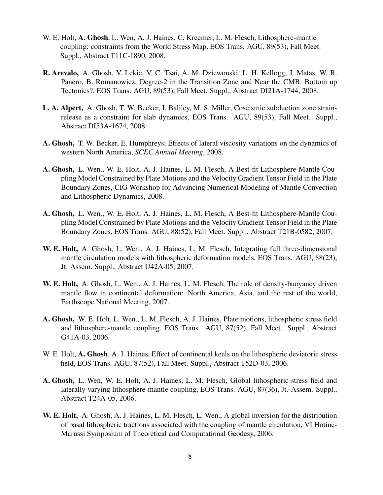- W. E. Holt, A. Ghosh, L. Wen, A. J. Haines, C. Kreemer, L. M. Flesch, Lithosphere-mantle coupling: constraints from the World Stress Map, EOS Trans. AGU, 89(53), Fall Meet. Suppl., Abstract T11C-1890, 2008.
- R. Arevalo, A. Ghosh, V. Lekic, V. C. Tsai, A. M. Dziewonski, L. H. Kellogg, J. Matas, W. R. Panero, B. Romanowicz, Degree-2 in the Transition Zone and Near the CMB: Bottom up Tectonics?, EOS Trans. AGU, 89(53), Fall Meet. Suppl., Abstract DI21A-1744, 2008.
- L. A. Alpert, A. Ghosh, T. W. Becker, I. Baliley, M. S. Miller, Coseismic subduction zone strainrelease as a constraint for slab dynamics, EOS Trans. AGU, 89(53), Fall Meet. Suppl., Abstract DI53A-1674, 2008.
- A. Ghosh, T. W. Becker, E. Humphreys, Effects of lateral viscosity variations on the dynamics of western North America, *SCEC Annual Meeting*, 2008.
- A. Ghosh, L. Wen., W. E. Holt, A. J. Haines, L. M. Flesch, A Best-fit Lithosphere-Mantle Coupling Model Constrained by Plate Motions and the Velocity Gradient Tensor Field in the Plate Boundary Zones, CIG Workshop for Advancing Numerical Modeling of Mantle Convection and Lithospheric Dynamics, 2008.
- A. Ghosh, L. Wen., W. E. Holt, A. J. Haines, L. M. Flesch, A Best-fit Lithosphere-Mantle Coupling Model Constrained by Plate Motions and the Velocity Gradient Tensor Field in the Plate Boundary Zones, EOS Trans. AGU, 88(52), Fall Meet. Suppl., Abstract T21B-0582, 2007.
- W. E. Holt, A. Ghosh, L. Wen., A. J. Haines, L. M. Flesch, Integrating full three-dimensional mantle circulation models with lithospheric deformation models, EOS Trans. AGU, 88(23), Jt. Assem. Suppl., Abstract U42A-05, 2007.
- W. E. Holt, A. Ghosh, L. Wen., A. J. Haines, L. M. Flesch, The role of density-buoyancy driven mantle flow in continental deformation: North America, Asia, and the rest of the world, Earthscope National Meeting, 2007.
- A. Ghosh, W. E. Holt, L. Wen., L. M. Flesch, A. J. Haines, Plate motions, lithospheric stress field and lithosphere-mantle coupling, EOS Trans. AGU, 87(52), Fall Meet. Suppl., Abstract G41A-03, 2006.
- W. E. Holt, A. Ghosh, A. J. Haines, Effect of continental keels on the lithospheric deviatoric stress field, EOS Trans. AGU, 87(52), Fall Meet. Suppl., Abstract T52D-03, 2006.
- A. Ghosh, L. Wen, W. E. Holt, A. J. Haines, L. M. Flesch, Global lithospheric stress field and laterally varying lithosphere-mantle coupling, EOS Trans. AGU, 87(36), Jt. Assem. Suppl., Abstract T24A-05, 2006.
- W. E. Holt, A. Ghosh, A. J. Haines, L. M. Flesch, L. Wen., A global inversion for the distribution of basal lithospheric tractions associated with the coupling of mantle circulation, VI Hotine-Marussi Symposium of Theoretical and Computational Geodesy, 2006.